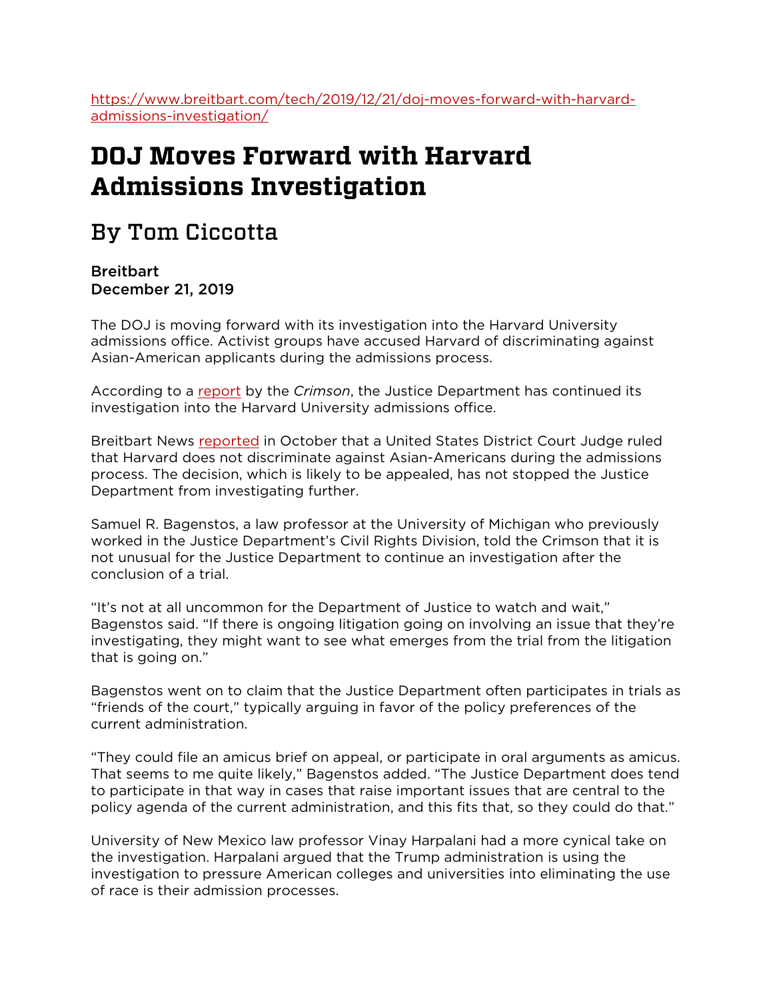[https://www.breitbart.com/tech/2019/12/21/doj-moves-forward-with-harvard](https://www.breitbart.com/tech/2019/12/21/doj-moves-forward-with-harvard-admissions-investigation/)[admissions-investigation/](https://www.breitbart.com/tech/2019/12/21/doj-moves-forward-with-harvard-admissions-investigation/)

## **DOJ Moves Forward with Harvard Admissions Investigation**

## By Tom Ciccotta

**Breitbart** December 21, 2019

The DOJ is moving forward with its investigation into the Harvard University admissions office. Activist groups have accused Harvard of discriminating against Asian-American applicants during the admissions process.

According to a [report](https://www.thecrimson.com/article/2019/12/18/foia-doj-continues-investigation/) by the *Crimson*, the Justice Department has continued its investigation into the Harvard University admissions office.

Breitbart News [reported](https://www.breitbart.com/tech/2019/10/02/four-key-takeaways-from-the-harvard-admissions-ruling/) in October that a United States District Court Judge ruled that Harvard does not discriminate against Asian-Americans during the admissions process. The decision, which is likely to be appealed, has not stopped the Justice Department from investigating further.

Samuel R. Bagenstos, a law professor at the University of Michigan who previously worked in the Justice Department's Civil Rights Division, told the Crimson that it is not unusual for the Justice Department to continue an investigation after the conclusion of a trial.

"It's not at all uncommon for the Department of Justice to watch and wait," Bagenstos said. "If there is ongoing litigation going on involving an issue that they're investigating, they might want to see what emerges from the trial from the litigation that is going on."

Bagenstos went on to claim that the Justice Department often participates in trials as "friends of the court," typically arguing in favor of the policy preferences of the current administration.

"They could file an amicus brief on appeal, or participate in oral arguments as amicus. That seems to me quite likely," Bagenstos added. "The Justice Department does tend to participate in that way in cases that raise important issues that are central to the policy agenda of the current administration, and this fits that, so they could do that."

University of New Mexico law professor Vinay Harpalani had a more cynical take on the investigation. Harpalani argued that the Trump administration is using the investigation to pressure American colleges and universities into eliminating the use of race is their admission processes.